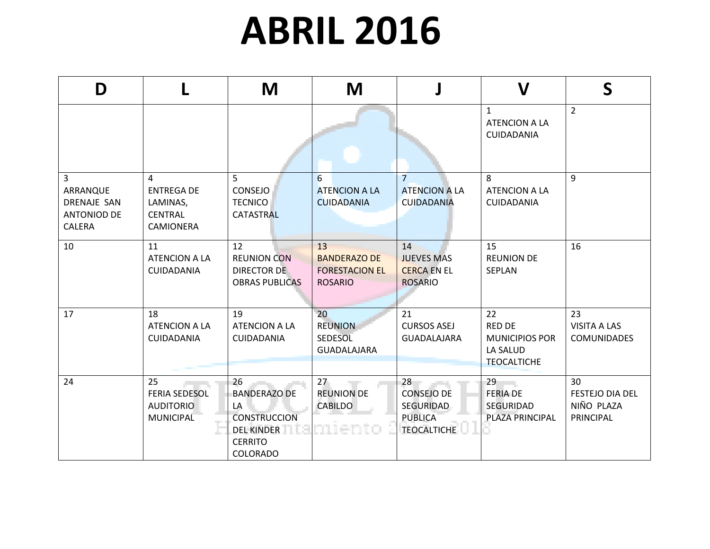## **ABRIL 2016**

| D                                                                          |                                                                          | M                                                                                                                | M                                                                    |                                                                              | $\boldsymbol{V}$                                                               | S                                                |
|----------------------------------------------------------------------------|--------------------------------------------------------------------------|------------------------------------------------------------------------------------------------------------------|----------------------------------------------------------------------|------------------------------------------------------------------------------|--------------------------------------------------------------------------------|--------------------------------------------------|
|                                                                            |                                                                          |                                                                                                                  |                                                                      |                                                                              | $\mathbf{1}$<br><b>ATENCION A LA</b><br><b>CUIDADANIA</b>                      | $\overline{2}$                                   |
| 3<br>ARRANQUE<br><b>DRENAJE SAN</b><br><b>ANTONIOD DE</b><br><b>CALERA</b> | 4<br><b>ENTREGA DE</b><br>LAMINAS,<br><b>CENTRAL</b><br><b>CAMIONERA</b> | 5<br><b>CONSEJO</b><br><b>TECNICO</b><br><b>CATASTRAL</b>                                                        | 6<br><b>ATENCION A LA</b><br><b>CUIDADANIA</b>                       | $\overline{7}$<br><b>ATENCION A LA</b><br><b>CUIDADANIA</b>                  | 8<br><b>ATENCION A LA</b><br><b>CUIDADANIA</b>                                 | 9                                                |
| 10                                                                         | 11<br><b>ATENCION A LA</b><br><b>CUIDADANIA</b>                          | 12<br><b>REUNION CON</b><br><b>DIRECTOR DE</b><br><b>OBRAS PUBLICAS</b>                                          | 13<br><b>BANDERAZO DE</b><br><b>FORESTACION EL</b><br><b>ROSARIO</b> | 14<br><b>JUEVES MAS</b><br><b>CERCA EN EL</b><br><b>ROSARIO</b>              | 15<br><b>REUNION DE</b><br><b>SEPLAN</b>                                       | 16                                               |
| 17                                                                         | 18<br><b>ATENCION A LA</b><br><b>CUIDADANIA</b>                          | 19<br><b>ATENCION A LA</b><br><b>CUIDADANIA</b>                                                                  | 20<br><b>REUNION</b><br><b>SEDESOL</b><br><b>GUADALAJARA</b>         | 21<br><b>CURSOS ASEJ</b><br>GUADALAJARA                                      | 22<br><b>RED DE</b><br><b>MUNICIPIOS POR</b><br>LA SALUD<br><b>TEOCALTICHE</b> | 23<br><b>VISITA A LAS</b><br><b>COMUNIDADES</b>  |
| 24                                                                         | 25<br><b>FERIA SEDESOL</b><br><b>AUDITORIO</b><br><b>MUNICIPAL</b>       | 26<br><b>BANDERAZO DE</b><br>LA<br><b>CONSTRUCCION</b><br><b>DEL KINDER</b><br><b>CERRITO</b><br><b>COLORADO</b> | 27<br><b>REUNION DE</b><br><b>CABILDO</b><br>an ne an c              | 28<br><b>CONSEJO DE</b><br>SEGURIDAD<br><b>PUBLICA</b><br><b>TEOCALTICHE</b> | 29<br><b>FERIA DE</b><br>SEGURIDAD<br>PLAZA PRINCIPAL                          | 30<br>FESTEJO DIA DEL<br>NIÑO PLAZA<br>PRINCIPAL |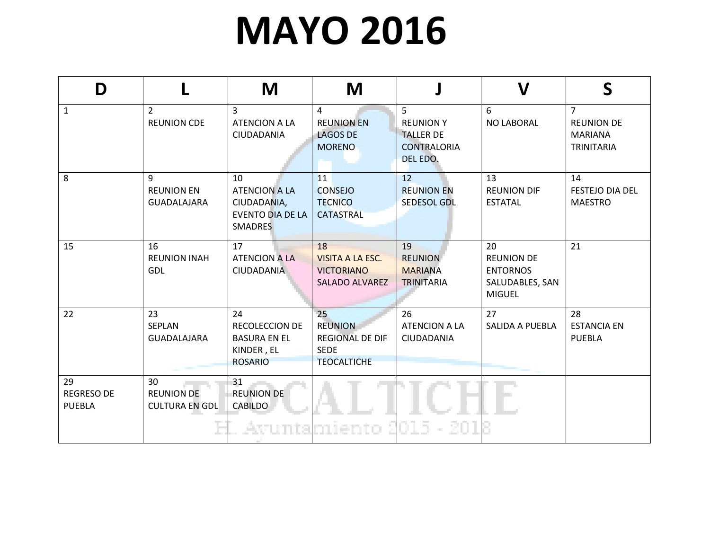## **MAYO 2016**

| D                                        |                                                  | M                                                                                      | M                                                                                   |                                                                                          | $\boldsymbol{\mathsf{V}}$                                                      | S                                                                          |
|------------------------------------------|--------------------------------------------------|----------------------------------------------------------------------------------------|-------------------------------------------------------------------------------------|------------------------------------------------------------------------------------------|--------------------------------------------------------------------------------|----------------------------------------------------------------------------|
| $\mathbf{1}$                             | $\overline{2}$<br><b>REUNION CDE</b>             | 3<br><b>ATENCION A LA</b><br>CIUDADANIA                                                | 4<br><b>REUNION EN</b><br><b>LAGOS DE</b><br><b>MORENO</b>                          | 5 <sup>1</sup><br><b>REUNION Y</b><br><b>TALLER DE</b><br><b>CONTRALORIA</b><br>DEL EDO. | 6<br>NO LABORAL                                                                | $\overline{7}$<br><b>REUNION DE</b><br><b>MARIANA</b><br><b>TRINITARIA</b> |
| 8                                        | 9<br><b>REUNION EN</b><br><b>GUADALAJARA</b>     | 10<br><b>ATENCION A LA</b><br>CIUDADANIA,<br><b>EVENTO DIA DE LA</b><br><b>SMADRES</b> | 11<br><b>CONSEJO</b><br><b>TECNICO</b><br><b>CATASTRAL</b>                          | 12<br><b>REUNION EN</b><br><b>SEDESOL GDL</b>                                            | 13<br><b>REUNION DIF</b><br><b>ESTATAL</b>                                     | 14<br><b>FESTEJO DIA DEL</b><br><b>MAESTRO</b>                             |
| 15                                       | 16<br><b>REUNION INAH</b><br>GDL                 | 17<br><b>ATENCION A LA</b><br>CIUDADANIA                                               | 18<br><b>VISITA A LA ESC.</b><br><b>VICTORIANO</b><br><b>SALADO ALVAREZ</b>         | 19<br><b>REUNION</b><br><b>MARIANA</b><br><b>TRINITARIA</b>                              | 20<br><b>REUNION DE</b><br><b>ENTORNOS</b><br>SALUDABLES, SAN<br><b>MIGUEL</b> | 21                                                                         |
| 22                                       | 23<br>SEPLAN<br><b>GUADALAJARA</b>               | 24<br><b>RECOLECCION DE</b><br><b>BASURA EN EL</b><br>KINDER, EL<br><b>ROSARIO</b>     | 25<br><b>REUNION</b><br><b>REGIONAL DE DIF</b><br><b>SEDE</b><br><b>TEOCALTICHE</b> | 26<br><b>ATENCION A LA</b><br><b>CIUDADANIA</b>                                          | 27<br><b>SALIDA A PUEBLA</b>                                                   | 28<br><b>ESTANCIA EN</b><br><b>PUEBLA</b>                                  |
| 29<br><b>REGRESO DE</b><br><b>PUEBLA</b> | 30<br><b>REUNION DE</b><br><b>CULTURA EN GDL</b> | 31<br><b>REUNION DE</b><br><b>CABILDO</b>                                              | Avuntamiento                                                                        | -201                                                                                     |                                                                                |                                                                            |